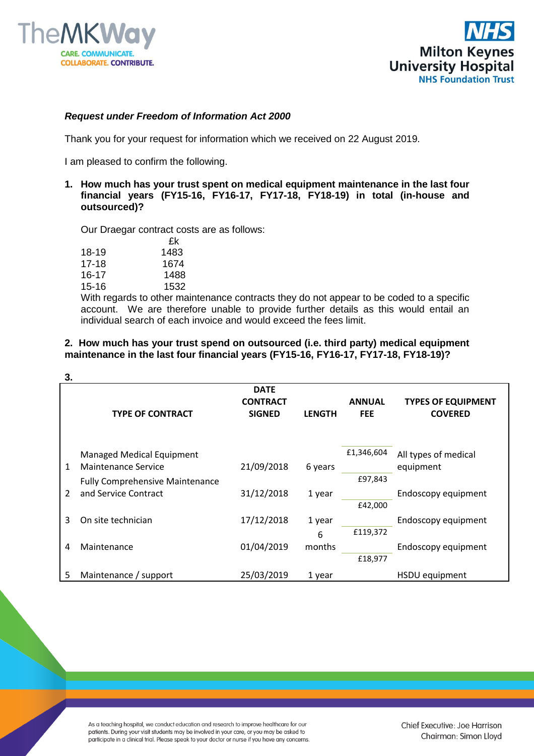



## *Request under Freedom of Information Act 2000*

Thank you for your request for information which we received on 22 August 2019.

I am pleased to confirm the following.

## **1. How much has your trust spent on medical equipment maintenance in the last four financial years (FY15-16, FY16-17, FY17-18, FY18-19) in total (in-house and outsourced)?**

Our Draegar contract costs are as follows:

|                         | £k             |
|-------------------------|----------------|
| 18-19                   | 1483           |
| 17-18                   | 1674           |
| 16-17                   | 1488           |
| 15-16                   | 1532           |
| $\overline{\mathbf{A}}$ | $\blacksquare$ |

With regards to other maintenance contracts they do not appear to be coded to a specific account. We are therefore unable to provide further details as this would entail an individual search of each invoice and would exceed the fees limit.

## **2. How much has your trust spend on outsourced (i.e. third party) medical equipment maintenance in the last four financial years (FY15-16, FY16-17, FY17-18, FY18-19)?**

| 3.             |                                        |                 |               |               |                           |
|----------------|----------------------------------------|-----------------|---------------|---------------|---------------------------|
|                |                                        | <b>DATE</b>     |               |               |                           |
|                |                                        | <b>CONTRACT</b> |               | <b>ANNUAL</b> | <b>TYPES OF EQUIPMENT</b> |
|                | <b>TYPE OF CONTRACT</b>                | <b>SIGNED</b>   | <b>LENGTH</b> | <b>FEE</b>    | <b>COVERED</b>            |
|                |                                        |                 |               |               |                           |
|                | <b>Managed Medical Equipment</b>       |                 |               | £1,346,604    | All types of medical      |
| 1              | Maintenance Service                    | 21/09/2018      | 6 years       |               | equipment                 |
|                | <b>Fully Comprehensive Maintenance</b> |                 |               | £97,843       |                           |
| $\overline{2}$ | and Service Contract                   | 31/12/2018      | 1 year        |               | Endoscopy equipment       |
|                |                                        |                 |               | £42,000       |                           |
| 3              | On site technician                     | 17/12/2018      | 1 year        |               | Endoscopy equipment       |
|                |                                        |                 | 6             | £119,372      |                           |
| 4              | Maintenance                            | 01/04/2019      | months        |               | Endoscopy equipment       |
|                |                                        |                 |               | £18,977       |                           |
|                |                                        |                 |               |               |                           |
| 5              | Maintenance / support                  | 25/03/2019      | 1 year        |               | HSDU equipment            |

As a teaching hospital, we conduct education and research to improve healthcare for our patients. During your visit students may be involved in your care, or you may be asked to participate in a clinical trial. Please speak to your doctor or nurse if you have any concerns.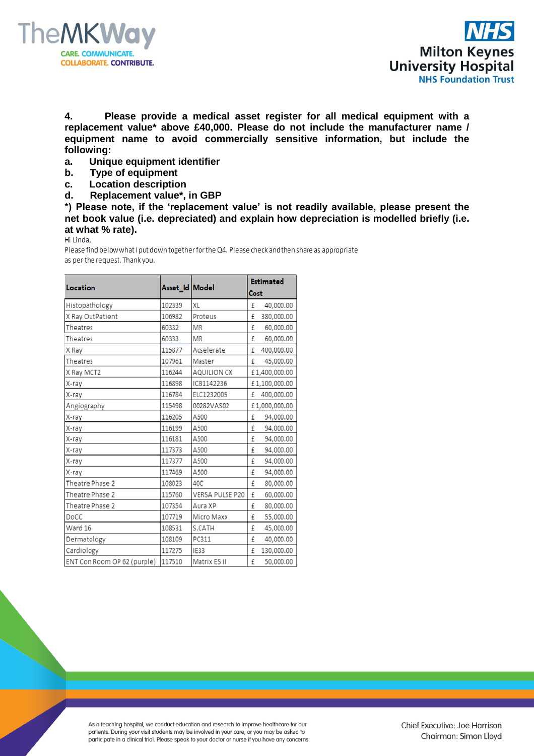



**4. Please provide a medical asset register for all medical equipment with a replacement value\* above £40,000. Please do not include the manufacturer name / equipment name to avoid commercially sensitive information, but include the following:**

- **a. Unique equipment identifier**
- **b. Type of equipment**
- **c. Location description**
- **d. Replacement value\*, in GBP**

**\*) Please note, if the 'replacement value' is not readily available, please present the net book value (i.e. depreciated) and explain how depreciation is modelled briefly (i.e. at what % rate).**

Please find below what I put down together for the Q4. Please check and then share as appropriate as per the request. Thank you.

|                             |                  |                    | <b>Estimated</b> |
|-----------------------------|------------------|--------------------|------------------|
| Location                    | Asset_Id   Model |                    | Cost             |
| Histopathology              | 102339           | XL                 | £<br>40,000.00   |
| X Ray OutPatient            | 106982           | Proteus            | 380,000.00<br>£  |
| Theatres                    | 60332            | MR                 | £<br>60,000.00   |
| Theatres                    | 60333            | MR                 | £<br>60,000.00   |
| X Ray                       | 115877           | Acselerate         | £<br>400,000.00  |
| Theatres                    | 107961           | Master             | £<br>45,000.00   |
| X Ray MCT2                  | 116244           | <b>AQUILION CX</b> | £1,400,000.00    |
| X-ray                       | 116898           | ICB1142236         | £1,100,000.00    |
| X-ray                       | 116784           | ELC1232005         | 400,000.00<br>£  |
| Angiography                 | 115498           | 00282VAS02         | £1,000,000.00    |
| X-ray                       | 116205           | A500               | £<br>94,000.00   |
| X-ray                       | 116199           | A500               | £<br>94,000.00   |
| X-ray                       | 116181           | A500               | £<br>94,000.00   |
| X-ray                       | 117373           | A500               | £<br>94,000.00   |
| X-ray                       | 117377           | A500               | £<br>94,000.00   |
| X-ray                       | 117469           | A500               | 94,000.00<br>£   |
| Theatre Phase 2             | 108023           | 40C                | £<br>80,000.00   |
| Theatre Phase 2             | 115760           | VERSA PULSE P20    | £<br>60,000.00   |
| Theatre Phase 2             | 107354           | Aura XP            | £<br>80,000.00   |
| DoCC                        | 107719           | Micro Maxx         | £<br>55,000.00   |
| Ward 16                     | 108531           | S.CATH             | £<br>45,000.00   |
| Dermatology                 | 108109           | PC311              | £<br>40,000.00   |
| Cardiology                  | 117275           | IE33               | 130,000.00<br>£  |
| ENT Con Room OP 62 (purple) | 117510           | Matrix ES II       | £<br>50,000.00   |

As a teaching hospital, we conduct education and research to improve healthcare for our patients. During your visit students may be involved in your care, or you may be asked to participate in a clinical trial. Please speak to your doctor or nurse if you have any concerns.